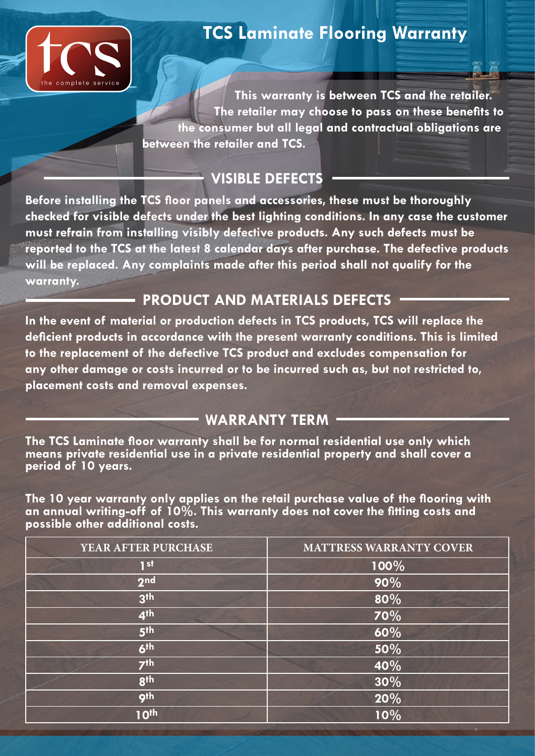

# **TCS Laminate Flooring Warranty**

**This warranty is between TCS and the retailer. The retailer may choose to pass on these benefits to the consumer but all legal and contractual obligations are between the retailer and TCS.**

### **VISIBLE DEFECTS**

**Before installing the TCS floor panels and accessories, these must be thoroughly checked for visible defects under the best lighting conditions. In any case the customer must refrain from installing visibly defective products. Any such defects must be reported to the TCS at the latest 8 calendar days after purchase. The defective products will be replaced. Any complaints made after this period shall not qualify for the warranty.**

# **PRODUCT AND MATERIALS DEFECTS**

**In the event of material or production defects in TCS products, TCS will replace the deficient products in accordance with the present warranty conditions. This is limited to the replacement of the defective TCS product and excludes compensation for any other damage or costs incurred or to be incurred such as, but not restricted to, placement costs and removal expenses.**

#### **WARRANTY TERM**

**The TCS Laminate floor warranty shall be for normal residential use only which means private residential use in a private residential property and shall cover a period of 10 years.**

**The 10 year warranty only applies on the retail purchase value of the flooring with an annual writing-off of 10%. This warranty does not cover the fitting costs and possible other additional costs.**

| YEAR AFTER PURCHASE | <b>MATTRESS WARRANTY COVER</b> |
|---------------------|--------------------------------|
| 1 <sub>st</sub>     | 100%                           |
| 2 <sub>nd</sub>     | 90%                            |
| 3 <sup>th</sup>     | 80%                            |
| 4 <sup>th</sup>     | 70%                            |
| 5 <sup>th</sup>     | 60%                            |
| 6 <sup>th</sup>     | 50%                            |
| 7 <sup>th</sup>     | 40%                            |
| <b>gth</b>          | 30%                            |
| gth                 | 20%                            |
| 10th                | 10%                            |